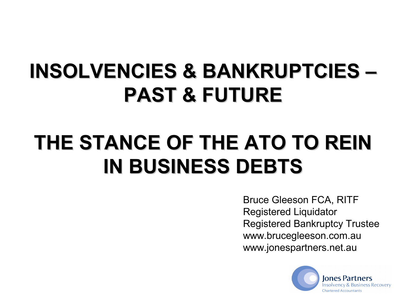# **INSOLVENCIES & BANKRUPTCIES – PAST & FUTURE**

# **THE STANCE OF THE ATO TO REIN IN BUSINESS DEBTS**

Bruce Gleeson FCA, RITF Registered Liquidator Registered Bankruptcy Trustee www.brucegleeson.com.au www.jonespartners.net.au

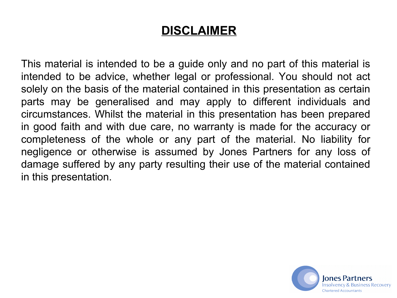#### **DISCLAIMER**

This material is intended to be a guide only and no part of this material is intended to be advice, whether legal or professional. You should not act solely on the basis of the material contained in this presentation as certain parts may be generalised and may apply to different individuals and circumstances. Whilst the material in this presentation has been prepared in good faith and with due care, no warranty is made for the accuracy or completeness of the whole or any part of the material. No liability for negligence or otherwise is assumed by Jones Partners for any loss of damage suffered by any party resulting their use of the material contained in this presentation.

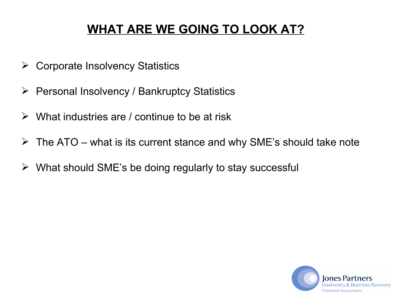## **WHAT ARE WE GOING TO LOOK AT?**

- $\triangleright$  Corporate Insolvency Statistics
- $\triangleright$  Personal Insolvency / Bankruptcy Statistics
- $\triangleright$  What industries are / continue to be at risk
- $\triangleright$  The ATO what is its current stance and why SME's should take note
- $\triangleright$  What should SME's be doing regularly to stay successful

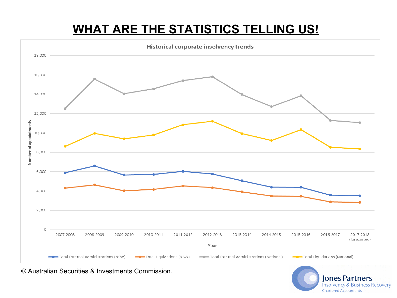# **WHAT ARE THE STATISTICS TELLING US!**



© Australian Securities & Investments Commission.

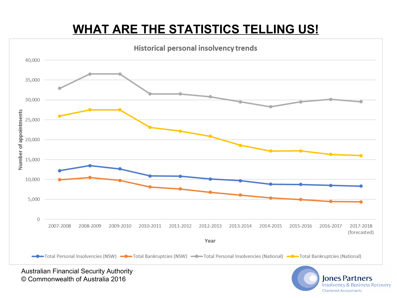# **WHAT ARE THE STATISTICS TELLING US!**



Australian Financial Security Authority © Commonwealth of Australia 2016

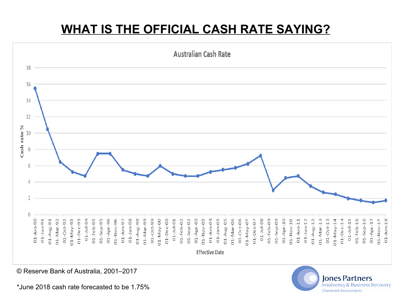## **WHAT IS THE OFFICIAL CASH RATE SAYING?**



© Reserve Bank of Australia, 2001–2017

\*June 2018 cash rate forecasted to be 1.75%

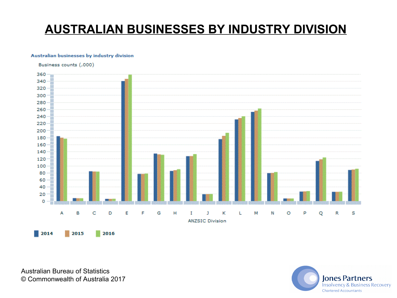### **AUSTRALIAN BUSINESSES BY INDUSTRY DIVISION**

#### Australian businesses by industry division

Business counts (,000)



Australian Bureau of Statistics © Commonwealth of Australia 2017

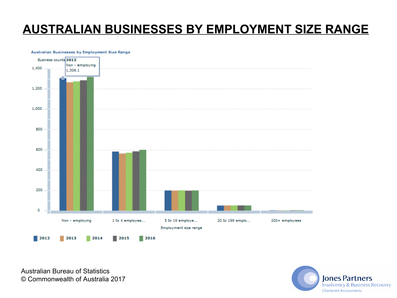#### **AUSTRALIAN BUSINESSES BY EMPLOYMENT SIZE RANGE**

#### Australian Businesses by Employment Size Range



Australian Bureau of Statistics © Commonwealth of Australia 2017

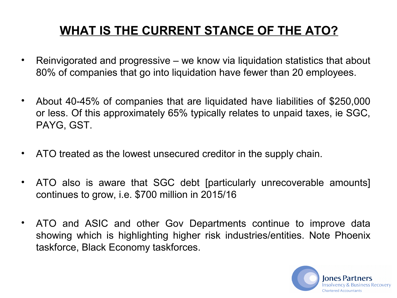# **WHAT IS THE CURRENT STANCE OF THE ATO?**

- Reinvigorated and progressive we know via liquidation statistics that about 80% of companies that go into liquidation have fewer than 20 employees.
- About 40-45% of companies that are liquidated have liabilities of \$250,000 or less. Of this approximately 65% typically relates to unpaid taxes, ie SGC, PAYG, GST.
- ATO treated as the lowest unsecured creditor in the supply chain.
- ATO also is aware that SGC debt [particularly unrecoverable amounts] continues to grow, i.e. \$700 million in 2015/16
- ATO and ASIC and other Gov Departments continue to improve data showing which is highlighting higher risk industries/entities. Note Phoenix taskforce, Black Economy taskforces.

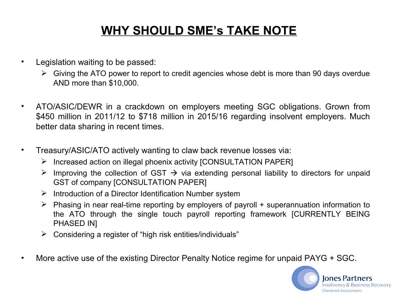### **WHY SHOULD SME's TAKE NOTE**

- Legislation waiting to be passed:
	- $\triangleright$  Giving the ATO power to report to credit agencies whose debt is more than 90 days overdue AND more than \$10,000.
- ATO/ASIC/DEWR in a crackdown on employers meeting SGC obligations. Grown from \$450 million in 2011/12 to \$718 million in 2015/16 regarding insolvent employers. Much better data sharing in recent times.
- Treasury/ASIC/ATO actively wanting to claw back revenue losses via:
	- $\triangleright$  Increased action on illegal phoenix activity [CONSULTATION PAPER]
	- $\triangleright$  Improving the collection of GST  $\rightarrow$  via extending personal liability to directors for unpaid GST of company [CONSULTATION PAPER]
	- $\triangleright$  Introduction of a Director Identification Number system
	- $\triangleright$  Phasing in near real-time reporting by employers of payroll + superannuation information to the ATO through the single touch payroll reporting framework [CURRENTLY BEING PHASED INI
	- $\triangleright$  Considering a register of "high risk entities/individuals"
- More active use of the existing Director Penalty Notice regime for unpaid PAYG + SGC.